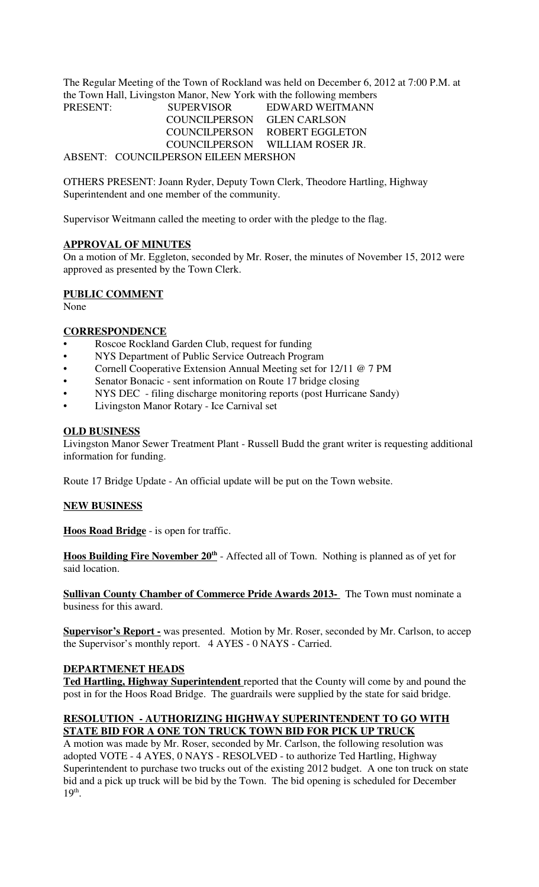The Regular Meeting of the Town of Rockland was held on December 6, 2012 at 7:00 P.M. at the Town Hall, Livingston Manor, New York with the following members PRESENT:

| <b>PRESENT:</b> | <b>SUPERVISOR</b>                    | EDWARD WEITMANN                 |
|-----------------|--------------------------------------|---------------------------------|
|                 | COUNCILPERSON GLEN CARLSON           |                                 |
|                 |                                      | COUNCILPERSON ROBERT EGGLETON   |
|                 |                                      | COUNCILPERSON WILLIAM ROSER JR. |
|                 | ABSENT: COUNCILPERSON EILEEN MERSHON |                                 |

OTHERS PRESENT: Joann Ryder, Deputy Town Clerk, Theodore Hartling, Highway Superintendent and one member of the community.

Supervisor Weitmann called the meeting to order with the pledge to the flag.

# **APPROVAL OF MINUTES**

On a motion of Mr. Eggleton, seconded by Mr. Roser, the minutes of November 15, 2012 were approved as presented by the Town Clerk.

# **PUBLIC COMMENT**

None

# **CORRESPONDENCE**

- Roscoe Rockland Garden Club, request for funding
- NYS Department of Public Service Outreach Program
- Cornell Cooperative Extension Annual Meeting set for 12/11 @ 7 PM
- Senator Bonacic sent information on Route 17 bridge closing
- NYS DEC filing discharge monitoring reports (post Hurricane Sandy)
- Livingston Manor Rotary Ice Carnival set

# **OLD BUSINESS**

Livingston Manor Sewer Treatment Plant - Russell Budd the grant writer is requesting additional information for funding.

Route 17 Bridge Update - An official update will be put on the Town website.

### **NEW BUSINESS**

**Hoos Road Bridge** - is open for traffic.

**Hoos Building Fire November 20th** - Affected all of Town. Nothing is planned as of yet for said location.

**Sullivan County Chamber of Commerce Pride Awards 2013-** The Town must nominate a business for this award.

**Supervisor's Report -** was presented. Motion by Mr. Roser, seconded by Mr. Carlson, to accep the Supervisor's monthly report. 4 AYES - 0 NAYS - Carried.

### **DEPARTMENET HEADS**

**Ted Hartling, Highway Superintendent** reported that the County will come by and pound the post in for the Hoos Road Bridge. The guardrails were supplied by the state for said bridge.

# **RESOLUTION - AUTHORIZING HIGHWAY SUPERINTENDENT TO GO WITH STATE BID FOR A ONE TON TRUCK TOWN BID FOR PICK UP TRUCK**

A motion was made by Mr. Roser, seconded by Mr. Carlson, the following resolution was adopted VOTE - 4 AYES, 0 NAYS - RESOLVED - to authorize Ted Hartling, Highway Superintendent to purchase two trucks out of the existing 2012 budget. A one ton truck on state bid and a pick up truck will be bid by the Town. The bid opening is scheduled for December 19<sup>th</sup>.